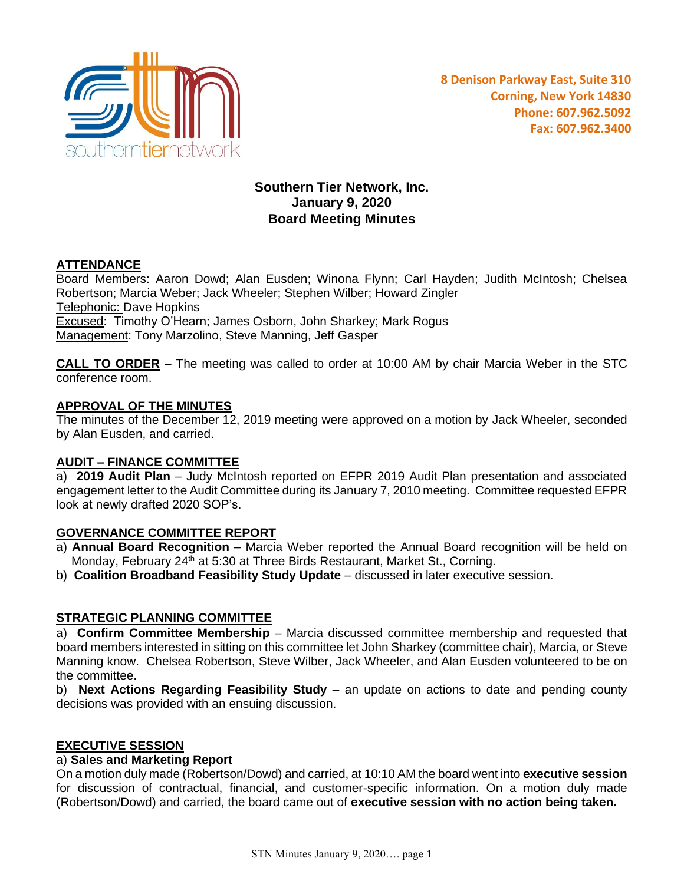

# **Southern Tier Network, Inc. January 9, 2020 Board Meeting Minutes**

## **ATTENDANCE**

Board Members: Aaron Dowd; Alan Eusden; Winona Flynn; Carl Hayden; Judith McIntosh; Chelsea Robertson; Marcia Weber; Jack Wheeler; Stephen Wilber; Howard Zingler Telephonic: Dave Hopkins Excused: Timothy O'Hearn; James Osborn, John Sharkey; Mark Rogus Management: Tony Marzolino, Steve Manning, Jeff Gasper

**CALL TO ORDER** – The meeting was called to order at 10:00 AM by chair Marcia Weber in the STC conference room.

#### **APPROVAL OF THE MINUTES**

The minutes of the December 12, 2019 meeting were approved on a motion by Jack Wheeler, seconded by Alan Eusden, and carried.

### **AUDIT – FINANCE COMMITTEE**

a) **2019 Audit Plan** – Judy McIntosh reported on EFPR 2019 Audit Plan presentation and associated engagement letter to the Audit Committee during its January 7, 2010 meeting. Committee requested EFPR look at newly drafted 2020 SOP's.

### **GOVERNANCE COMMITTEE REPORT**

- a) **Annual Board Recognition** Marcia Weber reported the Annual Board recognition will be held on Monday, February  $24^{th}$  at 5:30 at Three Birds Restaurant, Market St., Corning.
- b) **Coalition Broadband Feasibility Study Update** discussed in later executive session.

### **STRATEGIC PLANNING COMMITTEE**

a) **Confirm Committee Membership** – Marcia discussed committee membership and requested that board members interested in sitting on this committee let John Sharkey (committee chair), Marcia, or Steve Manning know. Chelsea Robertson, Steve Wilber, Jack Wheeler, and Alan Eusden volunteered to be on the committee.

b) **Next Actions Regarding Feasibility Study –** an update on actions to date and pending county decisions was provided with an ensuing discussion.

#### **EXECUTIVE SESSION**

#### a) **Sales and Marketing Report**

On a motion duly made (Robertson/Dowd) and carried, at 10:10 AM the board went into **executive session** for discussion of contractual, financial, and customer-specific information. On a motion duly made (Robertson/Dowd) and carried, the board came out of **executive session with no action being taken.**